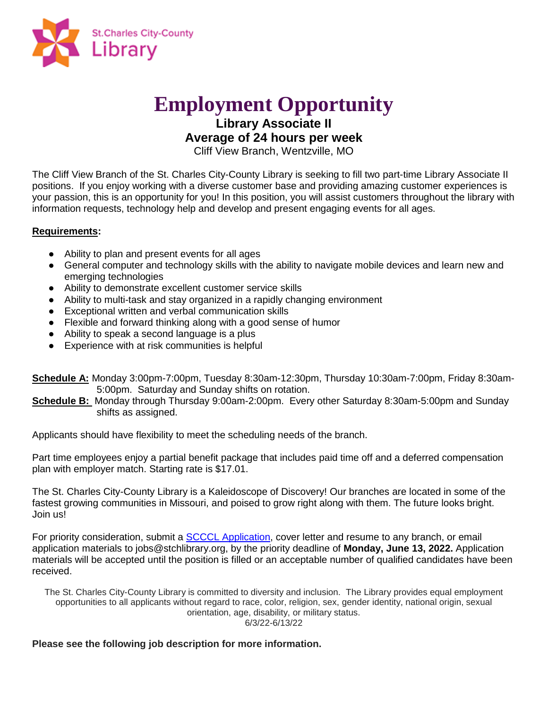

# **Employment Opportunity**

**Library Associate II**

# **Average of 24 hours per week**

Cliff View Branch, Wentzville, MO

The Cliff View Branch of the St. Charles City-County Library is seeking to fill two part-time Library Associate II positions. If you enjoy working with a diverse customer base and providing amazing customer experiences is your passion, this is an opportunity for you! In this position, you will assist customers throughout the library with information requests, technology help and develop and present engaging events for all ages.

## **Requirements:**

- Ability to plan and present events for all ages
- General computer and technology skills with the ability to navigate mobile devices and learn new and emerging technologies
- Ability to demonstrate excellent customer service skills
- Ability to multi-task and stay organized in a rapidly changing environment
- Exceptional written and verbal communication skills
- Flexible and forward thinking along with a good sense of humor
- Ability to speak a second language is a plus
- Experience with at risk communities is helpful

**Schedule A:** Monday 3:00pm-7:00pm, Tuesday 8:30am-12:30pm, Thursday 10:30am-7:00pm, Friday 8:30am-5:00pm. Saturday and Sunday shifts on rotation.

**Schedule B:** Monday through Thursday 9:00am-2:00pm. Every other Saturday 8:30am-5:00pm and Sunday shifts as assigned.

Applicants should have flexibility to meet the scheduling needs of the branch.

Part time employees enjoy a partial benefit package that includes paid time off and a deferred compensation plan with employer match. Starting rate is \$17.01.

The St. Charles City-County Library is a Kaleidoscope of Discovery! Our branches are located in some of the fastest growing communities in Missouri, and poised to grow right along with them. The future looks bright. Join us!

For priority consideration, submit a [SCCCL Application,](https://www.mylibrary.org/get-job-library) cover letter and resume to any branch, or email application materials to jobs@stchlibrary.org, by the priority deadline of **Monday, June 13, 2022.** Application materials will be accepted until the position is filled or an acceptable number of qualified candidates have been received.

The St. Charles City-County Library is committed to diversity and inclusion. The Library provides equal employment opportunities to all applicants without regard to race, color, religion, sex, gender identity, national origin, sexual orientation, age, disability, or military status. 6/3/22-6/13/22

### **Please see the following job description for more information.**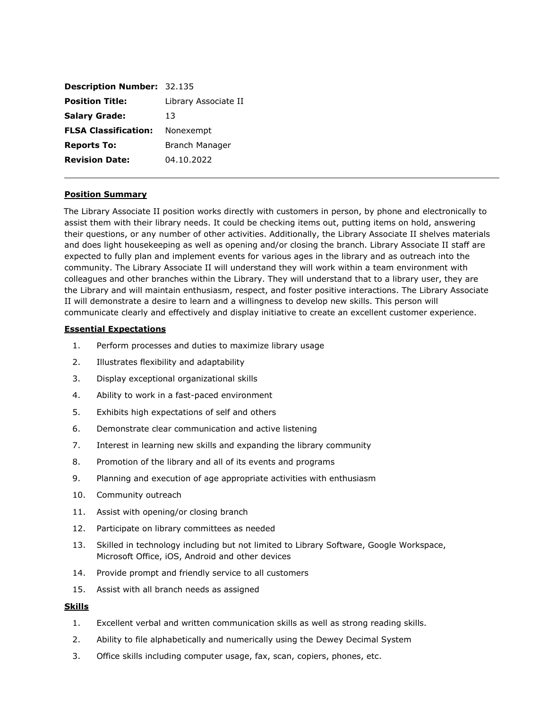| <b>Description Number: 32.135</b> |                      |
|-----------------------------------|----------------------|
| <b>Position Title:</b>            | Library Associate II |
| <b>Salary Grade:</b>              | 13                   |
| <b>FLSA Classification:</b>       | Nonexempt            |
| <b>Reports To:</b>                | Branch Manager       |
| <b>Revision Date:</b>             | 04.10.2022           |

#### **Position Summary**

The Library Associate II position works directly with customers in person, by phone and electronically to assist them with their library needs. It could be checking items out, putting items on hold, answering their questions, or any number of other activities. Additionally, the Library Associate II shelves materials and does light housekeeping as well as opening and/or closing the branch. Library Associate II staff are expected to fully plan and implement events for various ages in the library and as outreach into the community. The Library Associate II will understand they will work within a team environment with colleagues and other branches within the Library. They will understand that to a library user, they are the Library and will maintain enthusiasm, respect, and foster positive interactions. The Library Associate II will demonstrate a desire to learn and a willingness to develop new skills. This person will communicate clearly and effectively and display initiative to create an excellent customer experience.

#### **Essential Expectations**

- 1. Perform processes and duties to maximize library usage
- 2. Illustrates flexibility and adaptability
- 3. Display exceptional organizational skills
- 4. Ability to work in a fast-paced environment
- 5. Exhibits high expectations of self and others
- 6. Demonstrate clear communication and active listening
- 7. Interest in learning new skills and expanding the library community
- 8. Promotion of the library and all of its events and programs
- 9. Planning and execution of age appropriate activities with enthusiasm
- 10. Community outreach
- 11. Assist with opening/or closing branch
- 12. Participate on library committees as needed
- 13. Skilled in technology including but not limited to Library Software, Google Workspace, Microsoft Office, iOS, Android and other devices
- 14. Provide prompt and friendly service to all customers
- 15. Assist with all branch needs as assigned

#### **Skills**

- 1. Excellent verbal and written communication skills as well as strong reading skills.
- 2. Ability to file alphabetically and numerically using the Dewey Decimal System
- 3. Office skills including computer usage, fax, scan, copiers, phones, etc.